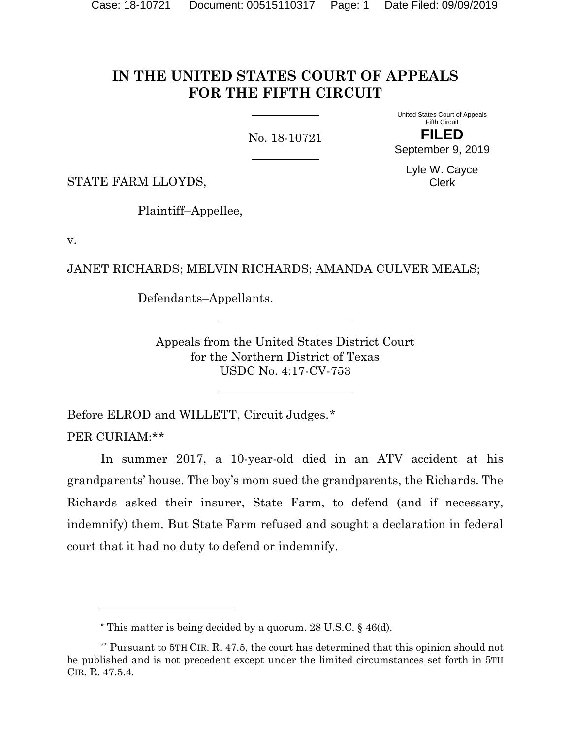## **IN THE UNITED STATES COURT OF APPEALS FOR THE FIFTH CIRCUIT**

No. 18-10721

United States Court of Appeals Fifth Circuit **FILED** September 9, 2019

STATE FARM LLOYDS,

Plaintiff–Appellee,

v.

 $\overline{a}$ 

JANET RICHARDS; MELVIN RICHARDS; AMANDA CULVER MEALS;

Defendants–Appellants.

Appeals from the United States District Court for the Northern District of Texas USDC No. 4:17-CV-753

Before ELROD and WILLETT, Circuit Judges.[\\*](#page-0-0) PER CURIAM:\*[\\*](#page-0-1)

In summer 2017, a 10-year-old died in an ATV accident at his grandparents' house. The boy's mom sued the grandparents, the Richards. The Richards asked their insurer, State Farm, to defend (and if necessary, indemnify) them. But State Farm refused and sought a declaration in federal court that it had no duty to defend or indemnify.

Lyle W. Cayce Clerk

<sup>\*</sup> This matter is being decided by a quorum. 28 U.S.C. § 46(d).

<span id="page-0-1"></span><span id="page-0-0"></span><sup>\*\*</sup> Pursuant to 5TH CIR. R. 47.5, the court has determined that this opinion should not be published and is not precedent except under the limited circumstances set forth in 5TH CIR. R. 47.5.4.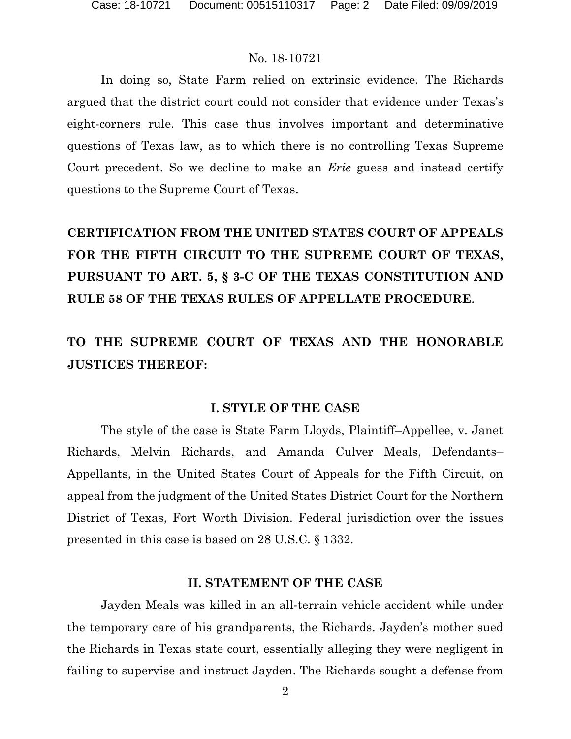In doing so, State Farm relied on extrinsic evidence. The Richards argued that the district court could not consider that evidence under Texas's eight-corners rule. This case thus involves important and determinative questions of Texas law, as to which there is no controlling Texas Supreme Court precedent. So we decline to make an *Erie* guess and instead certify questions to the Supreme Court of Texas.

**CERTIFICATION FROM THE UNITED STATES COURT OF APPEALS FOR THE FIFTH CIRCUIT TO THE SUPREME COURT OF TEXAS, PURSUANT TO ART. 5, § 3-C OF THE TEXAS CONSTITUTION AND RULE 58 OF THE TEXAS RULES OF APPELLATE PROCEDURE.**

# **TO THE SUPREME COURT OF TEXAS AND THE HONORABLE JUSTICES THEREOF:**

#### **I. STYLE OF THE CASE**

The style of the case is State Farm Lloyds, Plaintiff–Appellee, v. Janet Richards, Melvin Richards, and Amanda Culver Meals, Defendants– Appellants, in the United States Court of Appeals for the Fifth Circuit, on appeal from the judgment of the United States District Court for the Northern District of Texas, Fort Worth Division. Federal jurisdiction over the issues presented in this case is based on 28 U.S.C. § 1332.

#### **II. STATEMENT OF THE CASE**

Jayden Meals was killed in an all-terrain vehicle accident while under the temporary care of his grandparents, the Richards. Jayden's mother sued the Richards in Texas state court, essentially alleging they were negligent in failing to supervise and instruct Jayden. The Richards sought a defense from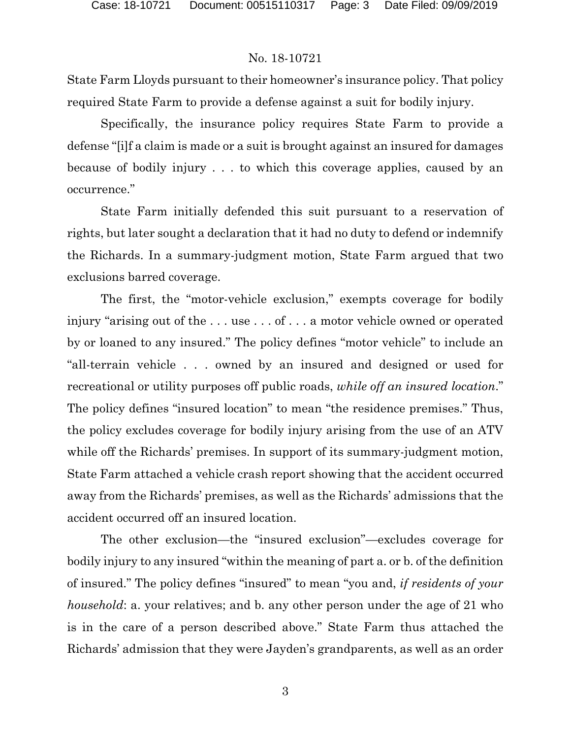State Farm Lloyds pursuant to their homeowner's insurance policy. That policy required State Farm to provide a defense against a suit for bodily injury.

Specifically, the insurance policy requires State Farm to provide a defense "[i]f a claim is made or a suit is brought against an insured for damages because of bodily injury . . . to which this coverage applies, caused by an occurrence."

State Farm initially defended this suit pursuant to a reservation of rights, but later sought a declaration that it had no duty to defend or indemnify the Richards. In a summary-judgment motion, State Farm argued that two exclusions barred coverage.

The first, the "motor-vehicle exclusion," exempts coverage for bodily injury "arising out of the . . . use . . . of . . . a motor vehicle owned or operated by or loaned to any insured." The policy defines "motor vehicle" to include an "all-terrain vehicle . . . owned by an insured and designed or used for recreational or utility purposes off public roads, *while off an insured location*." The policy defines "insured location" to mean "the residence premises." Thus, the policy excludes coverage for bodily injury arising from the use of an ATV while off the Richards' premises. In support of its summary-judgment motion, State Farm attached a vehicle crash report showing that the accident occurred away from the Richards' premises, as well as the Richards' admissions that the accident occurred off an insured location.

The other exclusion—the "insured exclusion"—excludes coverage for bodily injury to any insured "within the meaning of part a. or b. of the definition of insured." The policy defines "insured" to mean "you and, *if residents of your household*: a. your relatives; and b. any other person under the age of 21 who is in the care of a person described above." State Farm thus attached the Richards' admission that they were Jayden's grandparents, as well as an order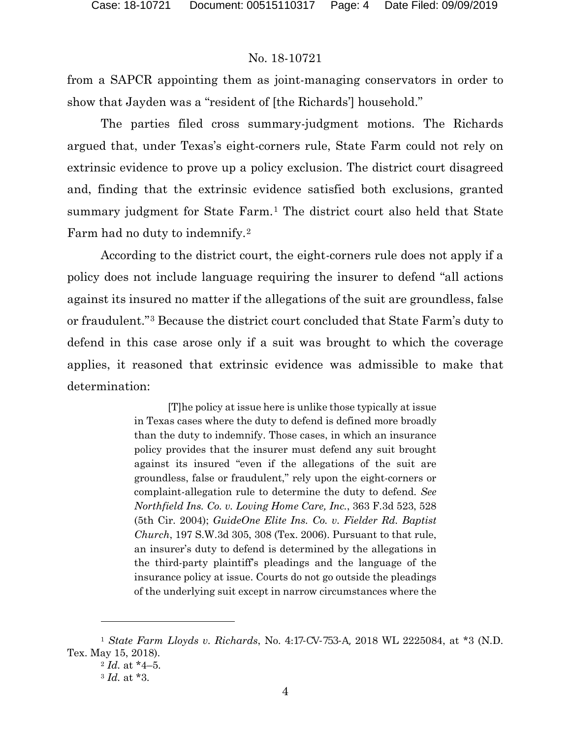from a SAPCR appointing them as joint-managing conservators in order to show that Jayden was a "resident of [the Richards'] household."

The parties filed cross summary-judgment motions. The Richards argued that, under Texas's eight-corners rule, State Farm could not rely on extrinsic evidence to prove up a policy exclusion. The district court disagreed and, finding that the extrinsic evidence satisfied both exclusions, granted summary judgment for State Farm.<sup>[1](#page-3-0)</sup> The district court also held that State Farm had no duty to indemnify.[2](#page-3-1)

According to the district court, the eight-corners rule does not apply if a policy does not include language requiring the insurer to defend "all actions against its insured no matter if the allegations of the suit are groundless, false or fraudulent."[3](#page-3-2) Because the district court concluded that State Farm's duty to defend in this case arose only if a suit was brought to which the coverage applies, it reasoned that extrinsic evidence was admissible to make that determination:

> [T]he policy at issue here is unlike those typically at issue in Texas cases where the duty to defend is defined more broadly than the duty to indemnify. Those cases, in which an insurance policy provides that the insurer must defend any suit brought against its insured "even if the allegations of the suit are groundless, false or fraudulent," rely upon the eight-corners or complaint-allegation rule to determine the duty to defend. *See Northfield Ins. Co. v. Loving Home Care, Inc.*, 363 F.3d 523, 528 (5th Cir. 2004); *GuideOne Elite Ins. Co. v. Fielder Rd. Baptist Church*, 197 S.W.3d 305, 308 (Tex. 2006). Pursuant to that rule, an insurer's duty to defend is determined by the allegations in the third-party plaintiff's pleadings and the language of the insurance policy at issue. Courts do not go outside the pleadings of the underlying suit except in narrow circumstances where the

<span id="page-3-2"></span><span id="page-3-1"></span><span id="page-3-0"></span><sup>1</sup> *State Farm Lloyds v. Richards*, No. 4:17-CV-753-A, 2018 WL 2225084, at \*3 (N.D. Tex. May 15, 2018).

 $2$  *Id.* at \*4–5.

<sup>3</sup> *Id.* at \*3.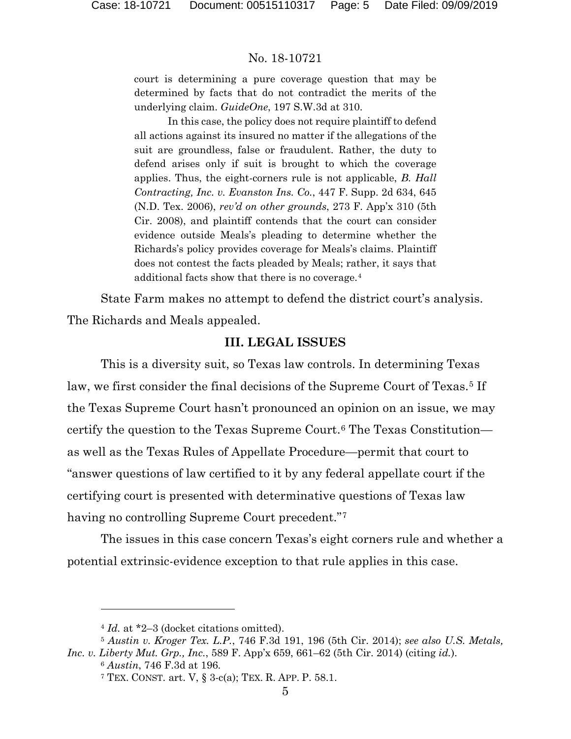court is determining a pure coverage question that may be determined by facts that do not contradict the merits of the underlying claim. *GuideOne*, 197 S.W.3d at 310.

In this case, the policy does not require plaintiff to defend all actions against its insured no matter if the allegations of the suit are groundless, false or fraudulent. Rather, the duty to defend arises only if suit is brought to which the coverage applies. Thus, the eight-corners rule is not applicable, *B. Hall Contracting, Inc. v. Evanston Ins. Co.*, 447 F. Supp. 2d 634, 645 (N.D. Tex. 2006), *rev'd on other grounds*, 273 F. App'x 310 (5th Cir. 2008), and plaintiff contends that the court can consider evidence outside Meals's pleading to determine whether the Richards's policy provides coverage for Meals's claims. Plaintiff does not contest the facts pleaded by Meals; rather, it says that additional facts show that there is no coverage.[4](#page-4-0)

State Farm makes no attempt to defend the district court's analysis.

The Richards and Meals appealed.

#### **III. LEGAL ISSUES**

This is a diversity suit, so Texas law controls. In determining Texas law, we first consider the final decisions of the Supreme Court of Texas.<sup>[5](#page-4-1)</sup> If the Texas Supreme Court hasn't pronounced an opinion on an issue, we may certify the question to the Texas Supreme Court.[6](#page-4-2) The Texas Constitution as well as the Texas Rules of Appellate Procedure—permit that court to "answer questions of law certified to it by any federal appellate court if the certifying court is presented with determinative questions of Texas law having no controlling Supreme Court precedent."<sup>[7](#page-4-3)</sup>

The issues in this case concern Texas's eight corners rule and whether a potential extrinsic-evidence exception to that rule applies in this case.

l

<sup>&</sup>lt;sup>4</sup> *Id.* at \*2-3 (docket citations omitted).

<span id="page-4-3"></span><span id="page-4-2"></span><span id="page-4-1"></span><span id="page-4-0"></span><sup>5</sup> *Austin v. Kroger Tex. L.P.*, 746 F.3d 191, 196 (5th Cir. 2014); *see also U.S. Metals, Inc. v. Liberty Mut. Grp., Inc.*, 589 F. App'x 659, 661–62 (5th Cir. 2014) (citing *id.*).

<sup>6</sup> *Austin*, 746 F.3d at 196.

<sup>&</sup>lt;sup>7</sup> TEX. CONST. art.  $V$ ,  $\S$  3-c(a); TEX. R. APP. P. 58.1.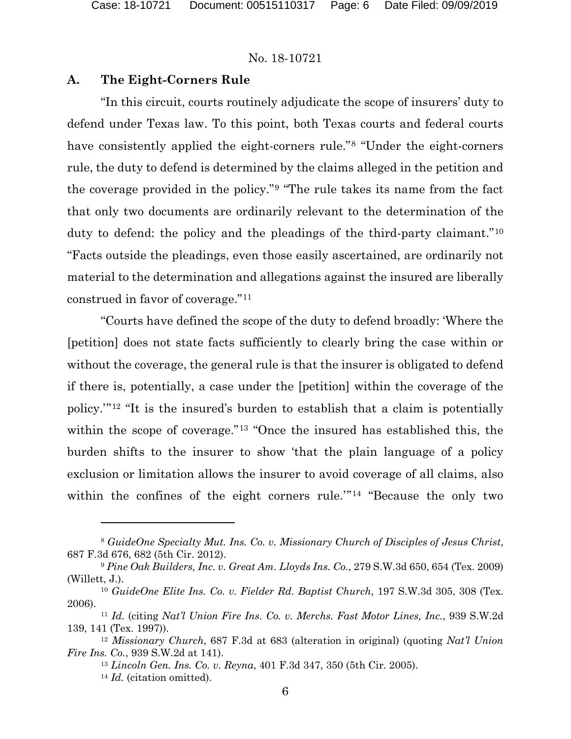### **A. The Eight-Corners Rule**

"In this circuit, courts routinely adjudicate the scope of insurers' duty to defend under Texas law. To this point, both Texas courts and federal courts have consistently applied the eight-corners rule."[8](#page-5-0) "Under the eight-corners rule, the duty to defend is determined by the claims alleged in the petition and the coverage provided in the policy."[9](#page-5-1) "The rule takes its name from the fact that only two documents are ordinarily relevant to the determination of the duty to defend: the policy and the pleadings of the third-party claimant."[10](#page-5-2) "Facts outside the pleadings, even those easily ascertained, are ordinarily not material to the determination and allegations against the insured are liberally construed in favor of coverage."[11](#page-5-3)

"Courts have defined the scope of the duty to defend broadly: 'Where the [petition] does not state facts sufficiently to clearly bring the case within or without the coverage, the general rule is that the insurer is obligated to defend if there is, potentially, a case under the [petition] within the coverage of the policy.'"[12](#page-5-4) "It is the insured's burden to establish that a claim is potentially within the scope of coverage."[13](#page-5-5) "Once the insured has established this, the burden shifts to the insurer to show 'that the plain language of a policy exclusion or limitation allows the insurer to avoid coverage of all claims, also within the confines of the eight corners rule."<sup>[14](#page-5-6)</sup> "Because the only two

<span id="page-5-0"></span><sup>8</sup> *GuideOne Specialty Mut. Ins. Co. v. Missionary Church of Disciples of Jesus Christ*, 687 F.3d 676, 682 (5th Cir. 2012).

<span id="page-5-1"></span><sup>9</sup> *Pine Oak Builders, Inc. v. Great Am. Lloyds Ins. Co.*, 279 S.W.3d 650, 654 (Tex. 2009) (Willett, J.).

<span id="page-5-2"></span><sup>10</sup> *GuideOne Elite Ins. Co. v. Fielder Rd. Baptist Church*, 197 S.W.3d 305, 308 (Tex. 2006).

<span id="page-5-3"></span><sup>11</sup> *Id.* (citing *Nat'l Union Fire Ins. Co. v. Merchs. Fast Motor Lines, Inc.*, 939 S.W.2d 139, 141 (Tex. 1997)).

<span id="page-5-6"></span><span id="page-5-5"></span><span id="page-5-4"></span><sup>12</sup> *Missionary Church*, 687 F.3d at 683 (alteration in original) (quoting *Nat'l Union Fire Ins. Co.*, 939 S.W.2d at 141).

<sup>13</sup> *Lincoln Gen. Ins. Co. v. Reyna*, 401 F.3d 347, 350 (5th Cir. 2005).

<sup>14</sup> *Id.* (citation omitted).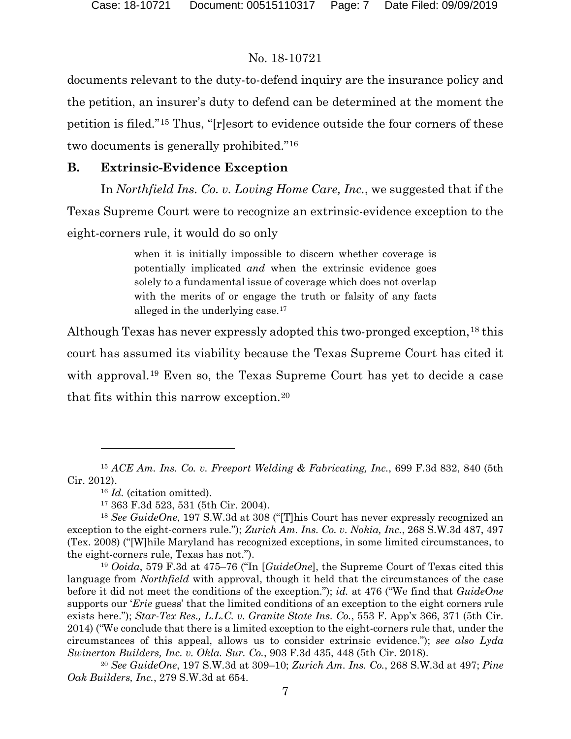documents relevant to the duty-to-defend inquiry are the insurance policy and the petition, an insurer's duty to defend can be determined at the moment the petition is filed."[15](#page-6-0) Thus, "[r]esort to evidence outside the four corners of these two documents is generally prohibited."[16](#page-6-1)

## **B. Extrinsic-Evidence Exception**

In *Northfield Ins. Co. v. Loving Home Care, Inc.*, we suggested that if the Texas Supreme Court were to recognize an extrinsic-evidence exception to the eight-corners rule, it would do so only

> when it is initially impossible to discern whether coverage is potentially implicated *and* when the extrinsic evidence goes solely to a fundamental issue of coverage which does not overlap with the merits of or engage the truth or falsity of any facts alleged in the underlying case.[17](#page-6-2)

Although Texas has never expressly adopted this two-pronged exception.<sup>[18](#page-6-3)</sup> this court has assumed its viability because the Texas Supreme Court has cited it with approval.<sup>[19](#page-6-4)</sup> Even so, the Texas Supreme Court has yet to decide a case that fits within this narrow exception.[20](#page-6-5)

<span id="page-6-0"></span><sup>15</sup> *ACE Am. Ins. Co. v. Freeport Welding & Fabricating, Inc.*, 699 F.3d 832, 840 (5th Cir. 2012).

<sup>16</sup> *Id.* (citation omitted).

<sup>17</sup> 363 F.3d 523, 531 (5th Cir. 2004).

<span id="page-6-3"></span><span id="page-6-2"></span><span id="page-6-1"></span><sup>18</sup> *See GuideOne*, 197 S.W.3d at 308 ("[T]his Court has never expressly recognized an exception to the eight-corners rule."); *Zurich Am. Ins. Co. v. Nokia, Inc.*, 268 S.W.3d 487, 497 (Tex. 2008) ("[W]hile Maryland has recognized exceptions, in some limited circumstances, to the eight-corners rule, Texas has not.").

<span id="page-6-4"></span><sup>19</sup> *Ooida*, 579 F.3d at 475–76 ("In [*GuideOne*], the Supreme Court of Texas cited this language from *Northfield* with approval, though it held that the circumstances of the case before it did not meet the conditions of the exception."); *id.* at 476 ("We find that *GuideOne* supports our '*Erie* guess' that the limited conditions of an exception to the eight corners rule exists here."); *Star-Tex Res., L.L.C. v. Granite State Ins. Co.*, 553 F. App'x 366, 371 (5th Cir. 2014) ("We conclude that there is a limited exception to the eight-corners rule that, under the circumstances of this appeal, allows us to consider extrinsic evidence."); *see also Lyda Swinerton Builders, Inc. v. Okla. Sur. Co.*, 903 F.3d 435, 448 (5th Cir. 2018).

<span id="page-6-5"></span><sup>20</sup> *See GuideOne*, 197 S.W.3d at 309–10; *Zurich Am. Ins. Co.*, 268 S.W.3d at 497; *Pine Oak Builders, Inc.*, 279 S.W.3d at 654.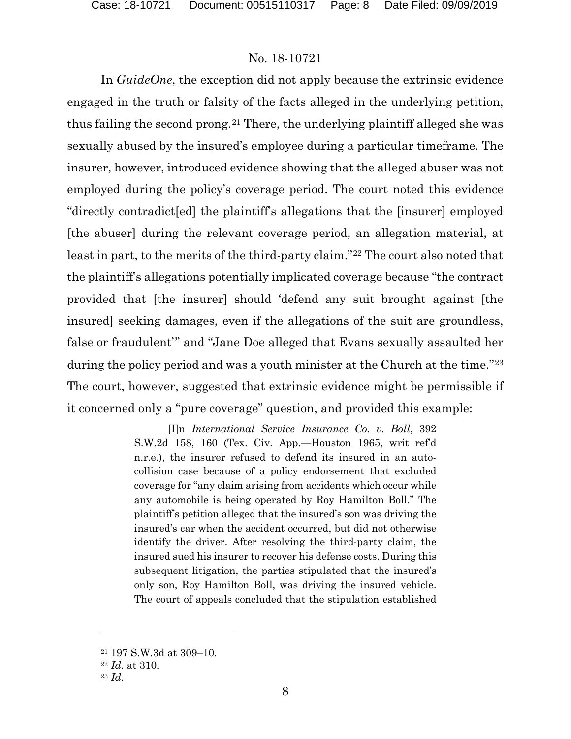In *GuideOne*, the exception did not apply because the extrinsic evidence engaged in the truth or falsity of the facts alleged in the underlying petition, thus failing the second prong.[21](#page-7-0) There, the underlying plaintiff alleged she was sexually abused by the insured's employee during a particular timeframe. The insurer, however, introduced evidence showing that the alleged abuser was not employed during the policy's coverage period. The court noted this evidence "directly contradict[ed] the plaintiff's allegations that the [insurer] employed [the abuser] during the relevant coverage period, an allegation material, at least in part, to the merits of the third-party claim."[22](#page-7-1) The court also noted that the plaintiff's allegations potentially implicated coverage because "the contract provided that [the insurer] should 'defend any suit brought against [the insured] seeking damages, even if the allegations of the suit are groundless, false or fraudulent'" and "Jane Doe alleged that Evans sexually assaulted her during the policy period and was a youth minister at the Church at the time."<sup>[23](#page-7-2)</sup> The court, however, suggested that extrinsic evidence might be permissible if it concerned only a "pure coverage" question, and provided this example:

> [I]n *International Service Insurance Co. v. Boll*, 392 S.W.2d 158, 160 (Tex. Civ. App.—Houston 1965, writ ref'd n.r.e.), the insurer refused to defend its insured in an autocollision case because of a policy endorsement that excluded coverage for "any claim arising from accidents which occur while any automobile is being operated by Roy Hamilton Boll." The plaintiff's petition alleged that the insured's son was driving the insured's car when the accident occurred, but did not otherwise identify the driver. After resolving the third-party claim, the insured sued his insurer to recover his defense costs. During this subsequent litigation, the parties stipulated that the insured's only son, Roy Hamilton Boll, was driving the insured vehicle. The court of appeals concluded that the stipulation established

<span id="page-7-0"></span><sup>21</sup> 197 S.W.3d at 309–10.

<span id="page-7-1"></span><sup>22</sup> *Id.* at 310.

<span id="page-7-2"></span><sup>23</sup> *Id.*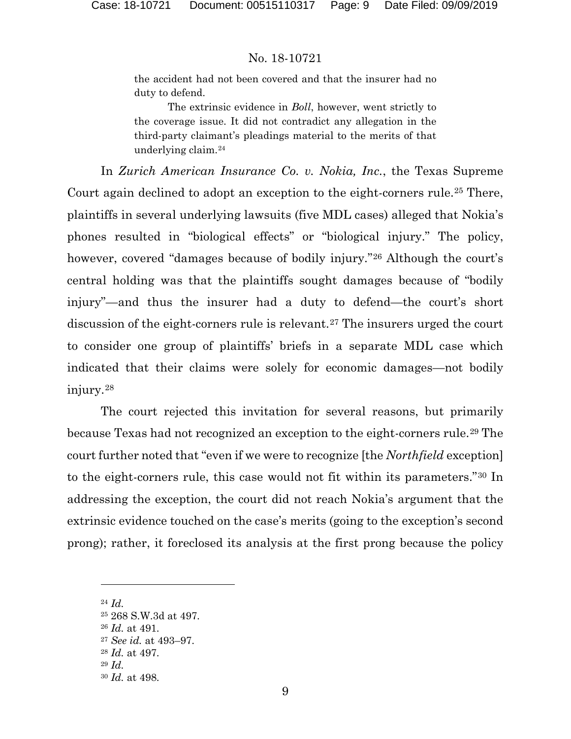the accident had not been covered and that the insurer had no duty to defend.

The extrinsic evidence in *Boll*, however, went strictly to the coverage issue. It did not contradict any allegation in the third-party claimant's pleadings material to the merits of that underlying claim.[24](#page-8-0)

In *Zurich American Insurance Co. v. Nokia, Inc.*, the Texas Supreme Court again declined to adopt an exception to the eight-corners rule.[25](#page-8-1) There, plaintiffs in several underlying lawsuits (five MDL cases) alleged that Nokia's phones resulted in "biological effects" or "biological injury." The policy, however, covered "damages because of bodily injury."<sup>[26](#page-8-2)</sup> Although the court's central holding was that the plaintiffs sought damages because of "bodily injury"—and thus the insurer had a duty to defend—the court's short discussion of the eight-corners rule is relevant.<sup>[27](#page-8-3)</sup> The insurers urged the court to consider one group of plaintiffs' briefs in a separate MDL case which indicated that their claims were solely for economic damages—not bodily injury.[28](#page-8-4)

The court rejected this invitation for several reasons, but primarily because Texas had not recognized an exception to the eight-corners rule.[29](#page-8-5) The court further noted that "even if we were to recognize [the *Northfield* exception] to the eight-corners rule, this case would not fit within its parameters."[30](#page-8-6) In addressing the exception, the court did not reach Nokia's argument that the extrinsic evidence touched on the case's merits (going to the exception's second prong); rather, it foreclosed its analysis at the first prong because the policy

<span id="page-8-1"></span><span id="page-8-0"></span><sup>24</sup> *Id.*

<span id="page-8-3"></span><span id="page-8-2"></span><sup>25</sup> 268 S.W.3d at 497. <sup>26</sup> *Id.* at 491. <sup>27</sup> *See id.* at 493–97. <sup>28</sup> *Id.* at 497. <sup>29</sup> *Id.*

<span id="page-8-6"></span><span id="page-8-5"></span><span id="page-8-4"></span><sup>30</sup> *Id.* at 498.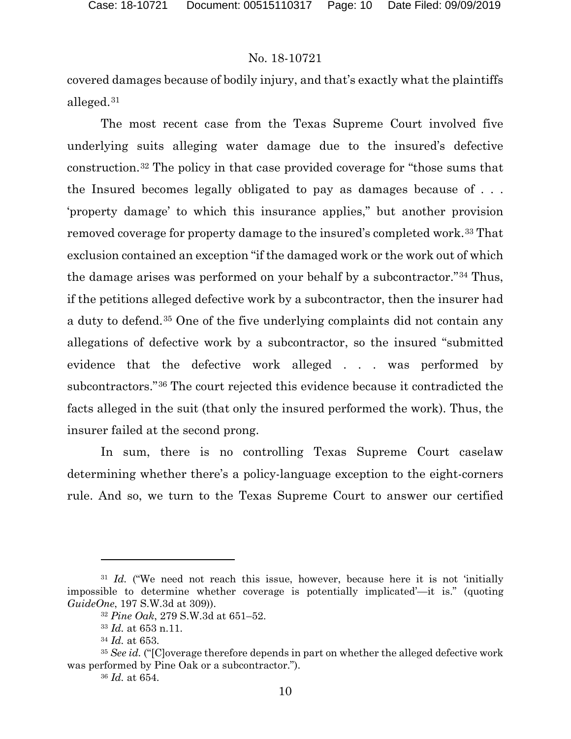covered damages because of bodily injury, and that's exactly what the plaintiffs alleged.[31](#page-9-0)

The most recent case from the Texas Supreme Court involved five underlying suits alleging water damage due to the insured's defective construction.[32](#page-9-1) The policy in that case provided coverage for "those sums that the Insured becomes legally obligated to pay as damages because of . . . 'property damage' to which this insurance applies," but another provision removed coverage for property damage to the insured's completed work.[33](#page-9-2) That exclusion contained an exception "if the damaged work or the work out of which the damage arises was performed on your behalf by a subcontractor."[34](#page-9-3) Thus, if the petitions alleged defective work by a subcontractor, then the insurer had a duty to defend.[35](#page-9-4) One of the five underlying complaints did not contain any allegations of defective work by a subcontractor, so the insured "submitted evidence that the defective work alleged . . . was performed by subcontractors."[36](#page-9-5) The court rejected this evidence because it contradicted the facts alleged in the suit (that only the insured performed the work). Thus, the insurer failed at the second prong.

In sum, there is no controlling Texas Supreme Court caselaw determining whether there's a policy-language exception to the eight-corners rule. And so, we turn to the Texas Supreme Court to answer our certified

l

<span id="page-9-1"></span><span id="page-9-0"></span><sup>31</sup> *Id.* ("We need not reach this issue, however, because here it is not 'initially impossible to determine whether coverage is potentially implicated'—it is." (quoting *GuideOne*, 197 S.W.3d at 309)).

<sup>32</sup> *Pine Oak*, 279 S.W.3d at 651–52.

<sup>33</sup> *Id.* at 653 n.11.

<sup>34</sup> *Id.* at 653.

<span id="page-9-5"></span><span id="page-9-4"></span><span id="page-9-3"></span><span id="page-9-2"></span><sup>35</sup> *See id.* ("[C]overage therefore depends in part on whether the alleged defective work was performed by Pine Oak or a subcontractor.").

<sup>36</sup> *Id.* at 654.